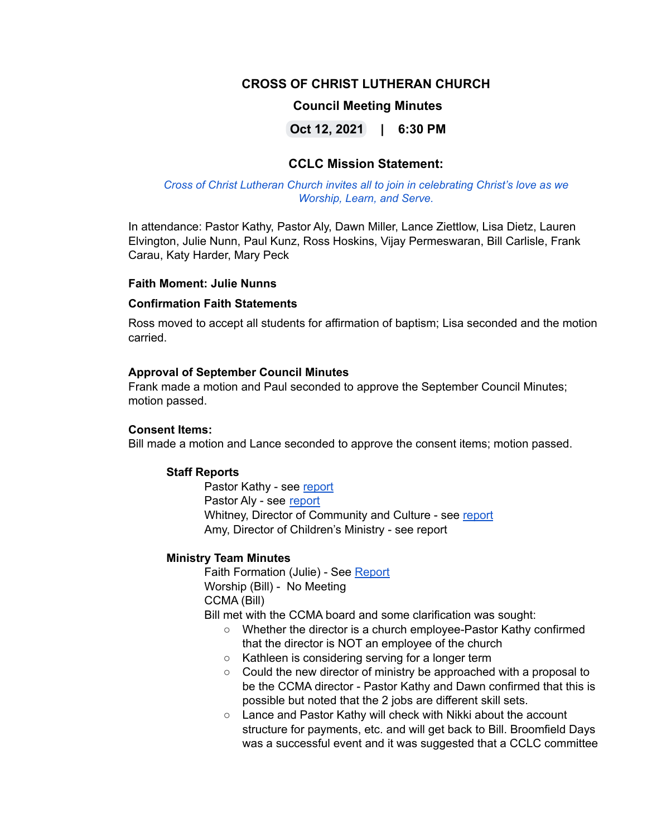# **CROSS OF CHRIST LUTHERAN CHURCH**

## **Council Meeting Minutes**

**Oct 12, 2021 | 6:30 PM**

# **CCLC Mission Statement:**

#### *Cross of Christ Lutheran Church invites all to join in celebrating Christ's love as we Worship, Learn, and Serve.*

In attendance: Pastor Kathy, Pastor Aly, Dawn Miller, Lance Ziettlow, Lisa Dietz, Lauren Elvington, Julie Nunn, Paul Kunz, Ross Hoskins, Vijay Permeswaran, Bill Carlisle, Frank Carau, Katy Harder, Mary Peck

#### **Faith Moment: Julie Nunns**

#### **Confirmation Faith Statements**

Ross moved to accept all students for affirmation of baptism; Lisa seconded and the motion carried.

#### **Approval of September Council Minutes**

Frank made a motion and Paul seconded to approve the September Council Minutes; motion passed.

#### **Consent Items:**

Bill made a motion and Lance seconded to approve the consent items; motion passed.

#### **Staff Reports**

Pastor Kathy - see [report](https://docs.google.com/document/d/1FgI20nfMFEhLIyR9wWrCZGrxKY8_ItNd/edit) Pastor Aly - see [report](https://docs.google.com/document/d/1mVBhbq-x7XkSnqKYCp4rCHyv1haWBA4c/edit) Whitney, Director of Community and Culture - see [report](https://docs.google.com/document/d/18KiXZdLuzBAjXSJqVU4i2XtxCX5ZGbBLv1l4pcl_Y3U/edit) Amy, Director of Children's Ministry - see report

#### **Ministry Team Minutes**

Faith Formation (Julie) - See [Report](https://docs.google.com/document/d/1SmmFeIm-aIyEql6_cMHgdrOUxyP-nr1t/edit) Worship (Bill) - No Meeting CCMA (Bill)

Bill met with the CCMA board and some clarification was sought:

- Whether the director is a church employee-Pastor Kathy confirmed that the director is NOT an employee of the church
- Kathleen is considering serving for a longer term
- Could the new director of ministry be approached with a proposal to be the CCMA director - Pastor Kathy and Dawn confirmed that this is possible but noted that the 2 jobs are different skill sets.
- Lance and Pastor Kathy will check with Nikki about the account structure for payments, etc. and will get back to Bill. Broomfield Days was a successful event and it was suggested that a CCLC committee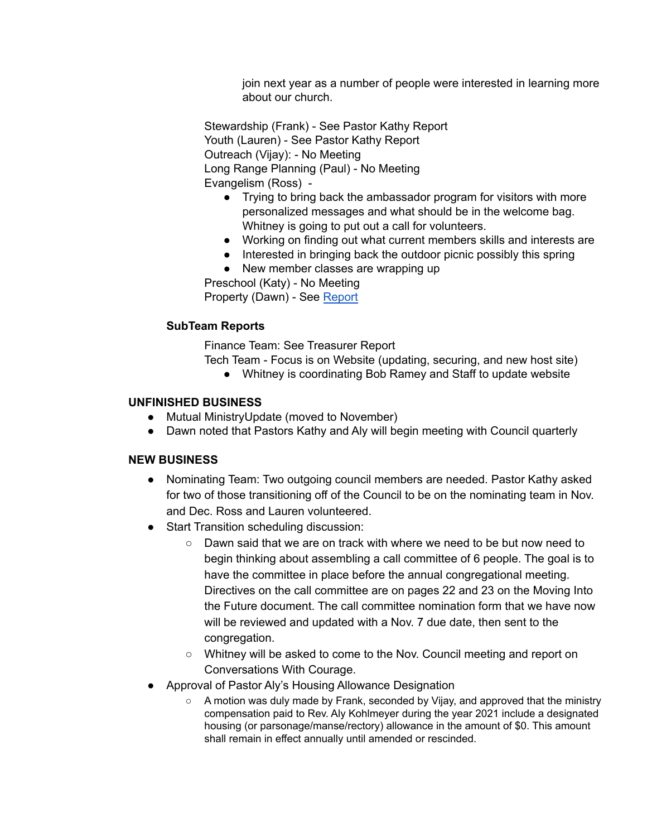join next year as a number of people were interested in learning more about our church.

Stewardship (Frank) - See Pastor Kathy Report Youth (Lauren) - See Pastor Kathy Report Outreach (Vijay): - No Meeting Long Range Planning (Paul) - No Meeting Evangelism (Ross) -

- Trying to bring back the ambassador program for visitors with more personalized messages and what should be in the welcome bag. Whitney is going to put out a call for volunteers.
- Working on finding out what current members skills and interests are
- Interested in bringing back the outdoor picnic possibly this spring
- New member classes are wrapping up

Preschool (Katy) - No Meeting

Property (Dawn) - See [Report](https://docs.google.com/document/d/1qS9WHd3Yrw8FL6VlbWd7yaa_ec3TWUkmtB7yLpGNKa0/edit)

## **SubTeam Reports**

Finance Team: See Treasurer Report

- Tech Team Focus is on Website (updating, securing, and new host site)
	- Whitney is coordinating Bob Ramey and Staff to update website

#### **UNFINISHED BUSINESS**

- Mutual MinistryUpdate (moved to November)
- Dawn noted that Pastors Kathy and Aly will begin meeting with Council quarterly

## **NEW BUSINESS**

- Nominating Team: Two outgoing council members are needed. Pastor Kathy asked for two of those transitioning off of the Council to be on the nominating team in Nov. and Dec. Ross and Lauren volunteered.
- Start Transition scheduling discussion:
	- Dawn said that we are on track with where we need to be but now need to begin thinking about assembling a call committee of 6 people. The goal is to have the committee in place before the annual congregational meeting. Directives on the call committee are on pages 22 and 23 on the Moving Into the Future document. The call committee nomination form that we have now will be reviewed and updated with a Nov. 7 due date, then sent to the congregation.
	- Whitney will be asked to come to the Nov. Council meeting and report on Conversations With Courage.
- Approval of Pastor Aly's Housing Allowance Designation
	- A motion was duly made by Frank, seconded by Vijay, and approved that the ministry compensation paid to Rev. Aly Kohlmeyer during the year 2021 include a designated housing (or parsonage/manse/rectory) allowance in the amount of \$0. This amount shall remain in effect annually until amended or rescinded.